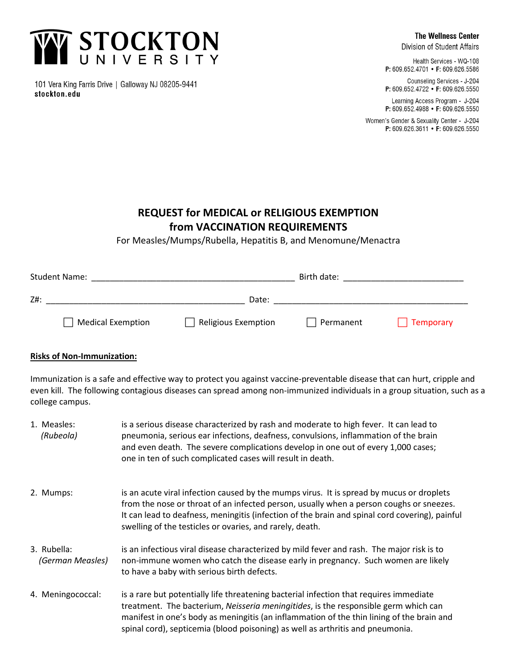

101 Vera King Farris Drive | Galloway NJ 08205-9441 stockton.edu

Division of Student Affairs

Health Services - WQ-108 P: 609.652.4701 • F: 609.626.5586

Counseling Services - J-204 P: 609.652.4722 • F: 609.626.5550

Learning Access Program - J-204 P: 609.652.4988 • F: 609.626.5550

Women's Gender & Sexuality Center - J-204 P: 609.626.3611 • F: 609.626.5550

## **REQUEST for MEDICAL or RELIGIOUS EXEMPTION from VACCINATION REQUIREMENTS**

For Measles/Mumps/Rubella, Hepatitis B, and Menomune/Menactra

| <b>Student Name:</b>     |                     | Birth date: |           |
|--------------------------|---------------------|-------------|-----------|
| Z#:                      | Date:               |             |           |
| <b>Medical Exemption</b> | Religious Exemption | Permanent   | Temporary |

## **Risks of Non-Immunization:**

Immunization is a safe and effective way to protect you against vaccine-preventable disease that can hurt, cripple and even kill. The following contagious diseases can spread among non-immunized individuals in a group situation, such as a college campus.

1. Measles: is a serious disease characterized by rash and moderate to high fever. It can lead to *(Rubeola)* pneumonia, serious ear infections, deafness, convulsions, inflammation of the brain and even death. The severe complications develop in one out of every 1,000 cases; one in ten of such complicated cases will result in death. 2. Mumps: is an acute viral infection caused by the mumps virus. It is spread by mucus or droplets from the nose or throat of an infected person, usually when a person coughs or sneezes. It can lead to deafness, meningitis (infection of the brain and spinal cord covering), painful swelling of the testicles or ovaries, and rarely, death. 3. Rubella: is an infectious viral disease characterized by mild fever and rash. The major risk is to *(German Measles)* non-immune women who catch the disease early in pregnancy. Such women are likely to have a baby with serious birth defects. 4. Meningococcal: is a rare but potentially life threatening bacterial infection that requires immediate treatment. The bacterium, *Neisseria meningitides*, is the responsible germ which can manifest in one's body as meningitis (an inflammation of the thin lining of the brain and spinal cord), septicemia (blood poisoning) as well as arthritis and pneumonia.